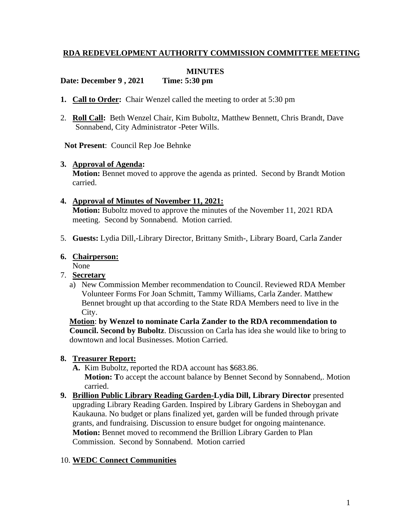# **RDA REDEVELOPMENT AUTHORITY COMMISSION COMMITTEE MEETING**

## **MINUTES**

## **Date: December 9 , 2021 Time: 5:30 pm**

- **1. Call to Order:** Chair Wenzel called the meeting to order at 5:30 pm
- 2. **Roll Call:** Beth Wenzel Chair, Kim Buboltz, Matthew Bennett, Chris Brandt, Dave Sonnabend, City Administrator -Peter Wills.

**Not Present**: Council Rep Joe Behnke

#### **3. Approval of Agenda:**

**Motion:** Bennet moved to approve the agenda as printed. Second by Brandt Motion carried.

#### **4. Approval of Minutes of November 11, 2021:**

**Motion:** Buboltz moved to approve the minutes of the November 11, 2021 RDA meeting. Second by Sonnabend. Motion carried.

5. **Guests:** Lydia Dill,-Library Director, Brittany Smith-, Library Board, Carla Zander

# **6. Chairperson:**

None

- 7. **Secretary**
	- a) New Commission Member recommendation to Council. Reviewed RDA Member Volunteer Forms For Joan Schmitt, Tammy Williams, Carla Zander. Matthew Bennet brought up that according to the State RDA Members need to live in the City.

**Motion**: **by Wenzel to nominate Carla Zander to the RDA recommendation to Council. Second by Buboltz**. Discussion on Carla has idea she would like to bring to downtown and local Businesses. Motion Carried.

#### **8. Treasurer Report:**

- **A.** Kim Buboltz, reported the RDA account has \$683.86. **Motion: T**o accept the account balance by Bennet Second by Sonnabend,. Motion carried.
- **9. Brillion Public Library Reading Garden-Lydia Dill, Library Director** presented upgrading Library Reading Garden. Inspired by Library Gardens in Sheboygan and Kaukauna. No budget or plans finalized yet, garden will be funded through private grants, and fundraising. Discussion to ensure budget for ongoing maintenance. **Motion:** Bennet moved to recommend the Brillion Library Garden to Plan Commission. Second by Sonnabend. Motion carried

#### 10. **WEDC Connect Communities**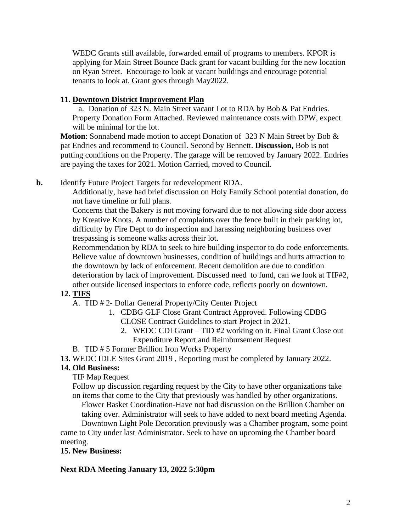WEDC Grants still available, forwarded email of programs to members. KPOR is applying for Main Street Bounce Back grant for vacant building for the new location on Ryan Street. Encourage to look at vacant buildings and encourage potential tenants to look at. Grant goes through May2022.

#### **11. Downtown District Improvement Plan**

a. Donation of 323 N. Main Street vacant Lot to RDA by Bob & Pat Endries. Property Donation Form Attached. Reviewed maintenance costs with DPW, expect will be minimal for the lot.

**Motion**: Sonnabend made motion to accept Donation of 323 N Main Street by Bob & pat Endries and recommend to Council. Second by Bennett. **Discussion,** Bob is not putting conditions on the Property. The garage will be removed by January 2022. Endries are paying the taxes for 2021. Motion Carried, moved to Council.

# **b.** Identify Future Project Targets for redevelopment RDA.

Additionally, have had brief discussion on Holy Family School potential donation, do not have timeline or full plans.

Concerns that the Bakery is not moving forward due to not allowing side door access by Kreative Knots. A number of complaints over the fence built in their parking lot, difficulty by Fire Dept to do inspection and harassing neighboring business over trespassing is someone walks across their lot.

Recommendation by RDA to seek to hire building inspector to do code enforcements. Believe value of downtown businesses, condition of buildings and hurts attraction to the downtown by lack of enforcement. Recent demolition are due to condition deterioration by lack of improvement. Discussed need to fund, can we look at TIF#2, other outside licensed inspectors to enforce code, reflects poorly on downtown.

# **12. TIFS**

- A. TID # 2- Dollar General Property/City Center Project
	- 1. CDBG GLF Close Grant Contract Approved. Following CDBG CLOSE Contract Guidelines to start Project in 2021.
		- 2. WEDC CDI Grant TID #2 working on it. Final Grant Close out Expenditure Report and Reimbursement Request
- B. TID # 5 Former Brillion Iron Works Property
- **13.** WEDC IDLE Sites Grant 2019 , Reporting must be completed by January 2022.

# **14. Old Business:**

TIF Map Request

Follow up discussion regarding request by the City to have other organizations take on items that come to the City that previously was handled by other organizations.

Flower Basket Coordination-Have not had discussion on the Brillion Chamber on taking over. Administrator will seek to have added to next board meeting Agenda.

Downtown Light Pole Decoration previously was a Chamber program, some point came to City under last Administrator. Seek to have on upcoming the Chamber board meeting.

#### **15. New Business:**

#### **Next RDA Meeting January 13, 2022 5:30pm**